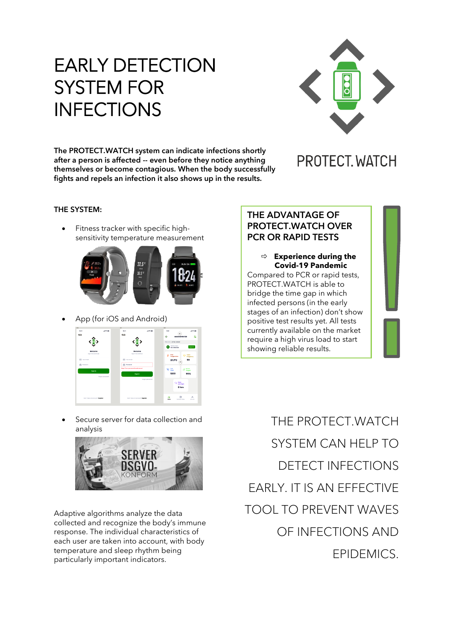# EARLY DETECTION SYSTEM FOR INFECTIONS



**The PROTECT.WATCH system can indicate infections shortly after a person is affected -- even before they notice anything themselves or become contagious. When the body successfully fights and repels an infection it also shows up in the results.**

# PROTECT. WATCH

### **THE SYSTEM:**

• Fitness tracker with specific highsensitivity temperature measurement



• App (for iOS and Android)



Secure server for data collection and analysis



Adaptive algorithms analyze the data collected and recognize the body's immune response. The individual characteristics of each user are taken into account, with body temperature and sleep rhythm being particularly important indicators.

**THE ADVANTAGE OF PROTECT.WATCH OVER PCR OR RAPID TESTS**

 **Experience during the Covid-19 Pandemic** Compared to PCR or rapid tests, PROTECT.WATCH is able to bridge the time gap in which infected persons (in the early stages of an infection) don't show positive test results yet. All tests currently available on the market require a high virus load to start showing reliable results.

THE PROTECT.WATCH SYSTEM CAN HELP TO DETECT INFECTIONS EARLY. IT IS AN EFFECTIVE TOOL TO PREVENT WAVES OF INFECTIONS AND EPIDEMICS.